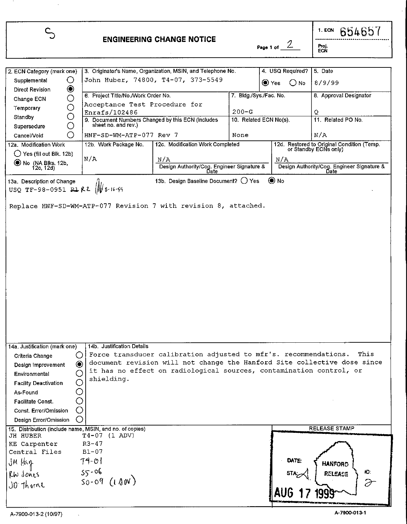$\bar{z}$ 

<span id="page-0-0"></span>**L** 

# 2 **ENGINEERING CHANGE NOTICE**

1.ECN 654657 I **FTOj. ECN** 

 $\mathbb{Z}^2$ 

| 2. ECN Category (mark one)                               |                                                                                                    | 3. Originator's Name, Organization, MSIN, and Telephone No.              |                        | 4. USQ Required?   | 5. Date                                                             |
|----------------------------------------------------------|----------------------------------------------------------------------------------------------------|--------------------------------------------------------------------------|------------------------|--------------------|---------------------------------------------------------------------|
| Ő<br>Supplemental                                        | John Huber, 74800, T4-07, 373-5549<br>$\odot$ Yes                                                  |                                                                          | $\bigcirc$ No          | 8/9/99             |                                                                     |
| ◉<br>Direct Revision                                     |                                                                                                    |                                                                          |                        |                    |                                                                     |
| O<br>Change ECN                                          | 6. Project Title/No./Work Order No.                                                                |                                                                          | 7. Bldg./Sys./Fac. No. |                    | 8. Approval Designator                                              |
| $\circ$<br>Temporary                                     | Acceptance Test Procedure for                                                                      |                                                                          |                        |                    |                                                                     |
| O<br>Standby                                             | $200 - G$<br>Enrafs/102486                                                                         |                                                                          |                        | Q                  |                                                                     |
| О<br>Supersedure                                         | 10. Related ECN No(s).<br>9. Document Numbers Changed by this ECN (includes<br>sheet no. and rev.) |                                                                          |                        | 11. Related PO No. |                                                                     |
| O<br>Cancel/Void                                         | HNF-SD-WM-ATP-077 Rev 7<br>None                                                                    |                                                                          |                        | N/A                |                                                                     |
| 12a. Modification Work                                   |                                                                                                    | 12c. Modification Work Completed                                         |                        |                    |                                                                     |
|                                                          | 12b. Work Package No.                                                                              |                                                                          |                        |                    | 12d. Restored to Original Condition (Temp.<br>or Standby ECNs only) |
| $\bigcup$ Yes (fill out Blk. 12b)                        | N/A                                                                                                | N/A                                                                      |                        | N/A                |                                                                     |
| ◯ No (NA Blks. 12b,<br>12c, 12d)                         |                                                                                                    | Design Authority/Cog. Engineer Signature &                               |                        |                    | Design Authority/Cog. Engineer Signature &                          |
|                                                          |                                                                                                    | Date                                                                     |                        |                    | Date                                                                |
| 13a. Description of Change                               |                                                                                                    | 13b. Design Baseline Document? ( Yes                                     |                        | $\odot$ No         |                                                                     |
| USQ TF-98-0951 R1 R2                                     | $108 - 16 - 99$                                                                                    |                                                                          |                        |                    |                                                                     |
|                                                          |                                                                                                    |                                                                          |                        |                    |                                                                     |
|                                                          |                                                                                                    | Replace HNF-SD-WM-ATP-077 Revision 7 with revision 8, attached.          |                        |                    |                                                                     |
|                                                          |                                                                                                    |                                                                          |                        |                    |                                                                     |
|                                                          |                                                                                                    |                                                                          |                        |                    |                                                                     |
|                                                          |                                                                                                    |                                                                          |                        |                    |                                                                     |
|                                                          |                                                                                                    |                                                                          |                        |                    |                                                                     |
|                                                          |                                                                                                    |                                                                          |                        |                    |                                                                     |
|                                                          |                                                                                                    |                                                                          |                        |                    |                                                                     |
|                                                          |                                                                                                    |                                                                          |                        |                    |                                                                     |
|                                                          |                                                                                                    |                                                                          |                        |                    |                                                                     |
|                                                          |                                                                                                    |                                                                          |                        |                    |                                                                     |
|                                                          |                                                                                                    |                                                                          |                        |                    |                                                                     |
|                                                          |                                                                                                    |                                                                          |                        |                    |                                                                     |
|                                                          |                                                                                                    |                                                                          |                        |                    |                                                                     |
|                                                          |                                                                                                    |                                                                          |                        |                    |                                                                     |
|                                                          |                                                                                                    |                                                                          |                        |                    |                                                                     |
|                                                          |                                                                                                    |                                                                          |                        |                    |                                                                     |
| 14a. Justification (mark one)                            | 14b. Justification Details                                                                         |                                                                          |                        |                    |                                                                     |
| Criteria Change                                          |                                                                                                    | Force transducer calibration adjusted to mfr's. recommendations.         |                        |                    | This                                                                |
| ◉<br>Design Improvement                                  |                                                                                                    | document revision will not change the Hanford Site collective dose since |                        |                    |                                                                     |
|                                                          |                                                                                                    | it has no effect on radiological sources, contamination control, or      |                        |                    |                                                                     |
| Environmental                                            | shielding.                                                                                         |                                                                          |                        |                    |                                                                     |
| <b>Facility Deactivation</b>                             |                                                                                                    |                                                                          |                        |                    |                                                                     |
| As-Found                                                 |                                                                                                    |                                                                          |                        |                    |                                                                     |
| Facilitate Const.                                        |                                                                                                    |                                                                          |                        |                    |                                                                     |
| Const. Error/Omission                                    |                                                                                                    |                                                                          |                        |                    |                                                                     |
| Design Error/Omission                                    |                                                                                                    |                                                                          |                        |                    |                                                                     |
| 15. Distribution (include name, MSIN, and no. of copies) |                                                                                                    |                                                                          |                        |                    | <b>RELEASE STAMP</b>                                                |
| JH HUBER                                                 | $T4-07$ (1 ADV)                                                                                    |                                                                          |                        |                    |                                                                     |
| <b>KE</b> Carpenter                                      | $R3 - 47$                                                                                          |                                                                          |                        |                    |                                                                     |
| Central Files                                            | $B1-07$                                                                                            |                                                                          |                        |                    |                                                                     |
| JM Han                                                   | $74 - 01$                                                                                          |                                                                          |                        | DATE:              | <b>HANFORD</b>                                                      |
| RW Jones                                                 | $55 - 06$                                                                                          |                                                                          |                        |                    | Ю.<br>RELEASE                                                       |
|                                                          | $50 - 09$ (180V)                                                                                   |                                                                          |                        |                    | F                                                                   |
| JO Thome                                                 |                                                                                                    |                                                                          |                        |                    |                                                                     |
|                                                          |                                                                                                    |                                                                          |                        | <b>AUG</b>         |                                                                     |
|                                                          |                                                                                                    |                                                                          |                        |                    |                                                                     |
| A-7900-013-2 (10/97)                                     |                                                                                                    |                                                                          |                        |                    | A-7900-013-1                                                        |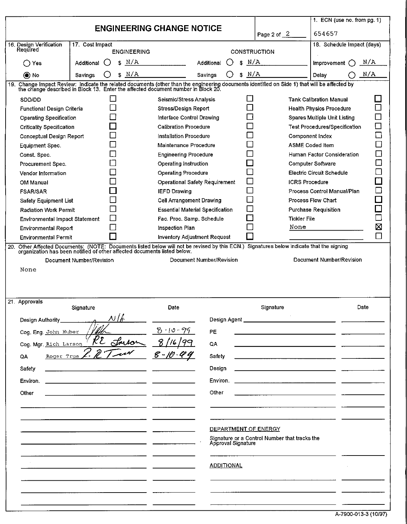|                                             |                 |                          |                                                        |                      |           |                                                                                                                                                                                                                             | 1. ECN (use no. from pg. 1)          |              |
|---------------------------------------------|-----------------|--------------------------|--------------------------------------------------------|----------------------|-----------|-----------------------------------------------------------------------------------------------------------------------------------------------------------------------------------------------------------------------------|--------------------------------------|--------------|
|                                             |                 |                          | <b>ENGINEERING CHANGE NOTICE</b>                       |                      |           |                                                                                                                                                                                                                             | 654657                               |              |
|                                             |                 |                          |                                                        |                      |           | Page 2 of $2$                                                                                                                                                                                                               |                                      |              |
| 16. Design Verification<br>Required         | 17. Cost Impact | <b>ENGINEERING</b>       |                                                        |                      |           | <b>CONSTRUCTION</b>                                                                                                                                                                                                         | 18. Schedule Impact (days)           |              |
| ()Yes                                       | Additional      | N/A<br>S<br>$\Box$       |                                                        | Additional           | N/A<br>S  |                                                                                                                                                                                                                             | Improvement                          | N/A          |
| $\odot$ No                                  | Savings         | N/A<br>S                 |                                                        | Savings              | N/A<br>\$ |                                                                                                                                                                                                                             | Delay                                | N/A          |
| 19.                                         |                 |                          |                                                        |                      |           | Change Impact Review: Indicate the related documents (other than the engineering documents identified on Side 1) that will be affected by the change described in Block 13. Enter the affected document number in Block 20. |                                      |              |
|                                             |                 |                          |                                                        |                      |           |                                                                                                                                                                                                                             |                                      |              |
| SDD/DD                                      |                 |                          | Seismic/Stress Analysis                                |                      |           |                                                                                                                                                                                                                             | <b>Tank Calibration Manual</b>       | $\Box$       |
| Functional Design Criteria                  |                 |                          | Stress/Design Report                                   |                      |           |                                                                                                                                                                                                                             | <b>Health Physics Procedure</b>      |              |
| <b>Operating Specification</b>              |                 |                          | Interface Control Drawing                              |                      |           |                                                                                                                                                                                                                             | <b>Spares Multiple Unit Listing</b>  | $\Box$       |
| <b>Criticality Specification</b>            |                 |                          | <b>Calibration Procedure</b><br>Installation Procedure |                      |           | Component Index                                                                                                                                                                                                             | <b>Test Procedures/Specification</b> | $\Box$       |
| Conceptual Design Report<br>Equipment Spec. |                 |                          | Maintenance Procedure                                  |                      |           |                                                                                                                                                                                                                             | ASME Coded Item                      | $\Box$       |
| Const. Spec.                                |                 |                          | <b>Engineering Procedure</b>                           |                      |           |                                                                                                                                                                                                                             | Human Factor Consideration           | $\Box$       |
| Procurement Spec.                           |                 |                          | Operating Instruction                                  |                      |           |                                                                                                                                                                                                                             | <b>Computer Software</b>             | $\Box$       |
| Vendor Information                          |                 |                          | <b>Operating Procedure</b>                             |                      |           |                                                                                                                                                                                                                             | Electric Circuit Schedule            | - 1          |
|                                             |                 |                          | <b>Operational Safety Requirement</b>                  |                      |           | <b>ICRS Procedure</b>                                                                                                                                                                                                       |                                      | T,           |
| OM Manual<br><b>FSAR/SAR</b>                |                 |                          | <b>IEFD Drawing</b>                                    |                      |           |                                                                                                                                                                                                                             | Process Control Manual/Plan          | $\mathbb{Z}$ |
| <b>Safety Equipment List</b>                |                 |                          | <b>Cell Arrangement Drawing</b>                        |                      |           |                                                                                                                                                                                                                             | Process Flow Chart                   |              |
| <b>Radiation Work Permit</b>                |                 |                          | <b>Essential Material Specification</b>                |                      |           |                                                                                                                                                                                                                             | Purchase Requisition                 |              |
| Environmental Impact Statement              |                 |                          | Fac. Proc. Samp. Schedule                              |                      |           | <b>Tickler File</b>                                                                                                                                                                                                         |                                      |              |
| <b>Environmental Report</b>                 |                 | $\blacksquare$           | Inspection Plan                                        |                      |           | None                                                                                                                                                                                                                        |                                      | Χ            |
| <b>Environmental Permit</b>                 |                 |                          | <b>Inventory Adjustment Request</b>                    |                      |           |                                                                                                                                                                                                                             |                                      | $\Box$       |
| None                                        |                 |                          |                                                        |                      |           |                                                                                                                                                                                                                             |                                      |              |
| 21. Approvals                               | Signature       |                          | Date                                                   |                      |           | Signature                                                                                                                                                                                                                   |                                      | Date         |
| Design Authority                            |                 | $\mathcal{N}/\mathit{h}$ |                                                        | Design Agent         |           |                                                                                                                                                                                                                             |                                      |              |
| Cog. Eng. John Huber                        |                 |                          | $8 - 10 - 99$                                          |                      |           |                                                                                                                                                                                                                             |                                      |              |
| Cog. Mgr. Rich Larson                       |                 |                          |                                                        | <b>PE</b>            |           |                                                                                                                                                                                                                             |                                      |              |
|                                             |                 |                          | 8/16                                                   |                      |           |                                                                                                                                                                                                                             |                                      |              |
|                                             |                 | RE Souson                |                                                        | QA                   |           |                                                                                                                                                                                                                             |                                      |              |
| Roger True<br>QA                            |                 |                          | $8 - 10$                                               | Safety               |           |                                                                                                                                                                                                                             |                                      |              |
| Safety                                      |                 |                          |                                                        | Design               |           |                                                                                                                                                                                                                             |                                      |              |
| Environ.                                    |                 |                          |                                                        | Environ.             |           |                                                                                                                                                                                                                             |                                      |              |
| Other                                       |                 |                          |                                                        | Other                |           |                                                                                                                                                                                                                             |                                      |              |
|                                             |                 |                          |                                                        |                      |           |                                                                                                                                                                                                                             |                                      |              |
|                                             |                 |                          |                                                        |                      |           |                                                                                                                                                                                                                             |                                      |              |
|                                             |                 |                          |                                                        | DEPARTMENT OF ENERGY |           |                                                                                                                                                                                                                             |                                      |              |
|                                             |                 |                          |                                                        | Approval Signature   |           | Signature or a Control Number that tracks the                                                                                                                                                                               |                                      |              |
|                                             |                 |                          |                                                        | <b>ADDITIONAL</b>    |           |                                                                                                                                                                                                                             |                                      |              |
|                                             |                 |                          |                                                        |                      |           |                                                                                                                                                                                                                             |                                      |              |
|                                             |                 |                          |                                                        |                      |           |                                                                                                                                                                                                                             |                                      |              |
|                                             |                 |                          |                                                        |                      |           |                                                                                                                                                                                                                             |                                      |              |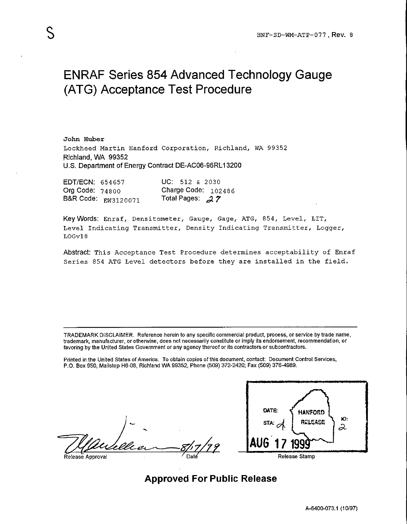# <span id="page-2-0"></span>ENRAF Series 854 Advanced Technology Gauge (ATG) Acceptance Test Procedure

John **Huber Lockheed Martin Hanford Corporation, Richland, WA 99352**  Richland, WA 99352 US. Department of Energy Contract DE-AC06-96RL13200

| <b>EDT/ECN: 654657</b> | UC. $512 \times 2030$ |
|------------------------|-----------------------|
| Org Code: $74800$      | Charge Code: $102486$ |
| B&R Code: EW3120071    | Total Pages: $27$     |

Keywords: **Enraf, Densitometer, Gauge, Gage, ATG, 854, Level, LIT, Level Indicating Transmitter, Density Indicating Transmitter, Logger, LOGV18** 

Abstract: **This Acceptance Test Procedure determines acceptability of Enraf Series 854 ATG Level detectors before they are installed in the field.** 

TRADEMARK DISCLAIMER. Reference herein to any specific commercial product, process, or service by trade name, trademark, manufacturer, or otherwise, does not necessarily constitute or imply its endorsement, recommendation, or favoring by the United States Government or any agency thereof or its contractors or subcontractors.

Printed in the United States of America. To obtain copies of this document, contact: Document Control Services, P.O. Box 950, Mailstop H6-08, Richland WA 99352, Phone (509) 372-2420; Fax (509) 376-4989.

% <u>de de proval de la component de la component de la component de la component de la component de la component de la component de la component de la component de la component de la component de la component de la component </u>

DATE: **HANFORD** Ю: Release 2

**Approved For Public Release**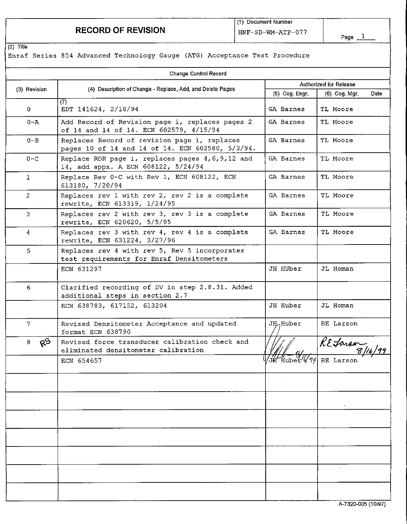# <span id="page-3-0"></span>**RECORD OF REVISION**

|                                                            |                                                                                                                                                                                                                                                                                                                                       |                                                                                                                                                                                                                                                                                                                                                                                                                                                                       | Page $1$                                                                                                                                                                                                                                               |
|------------------------------------------------------------|---------------------------------------------------------------------------------------------------------------------------------------------------------------------------------------------------------------------------------------------------------------------------------------------------------------------------------------|-----------------------------------------------------------------------------------------------------------------------------------------------------------------------------------------------------------------------------------------------------------------------------------------------------------------------------------------------------------------------------------------------------------------------------------------------------------------------|--------------------------------------------------------------------------------------------------------------------------------------------------------------------------------------------------------------------------------------------------------|
|                                                            |                                                                                                                                                                                                                                                                                                                                       |                                                                                                                                                                                                                                                                                                                                                                                                                                                                       |                                                                                                                                                                                                                                                        |
| Change Control Record                                      |                                                                                                                                                                                                                                                                                                                                       |                                                                                                                                                                                                                                                                                                                                                                                                                                                                       |                                                                                                                                                                                                                                                        |
| (4) Description of Change - Replace, Add, and Delete Pages |                                                                                                                                                                                                                                                                                                                                       | (5) Cog. Engr.                                                                                                                                                                                                                                                                                                                                                                                                                                                        | Authorized for Release<br>(6) Cog. Mgr.<br>Date                                                                                                                                                                                                        |
| EDT 141624, 2/18/94                                        |                                                                                                                                                                                                                                                                                                                                       |                                                                                                                                                                                                                                                                                                                                                                                                                                                                       | TL Moore                                                                                                                                                                                                                                               |
| of 14 and 14 of 14. ECN 602579, 4/15/94                    |                                                                                                                                                                                                                                                                                                                                       |                                                                                                                                                                                                                                                                                                                                                                                                                                                                       | TL Moore                                                                                                                                                                                                                                               |
| Replaces Record of revision page i, replaces               |                                                                                                                                                                                                                                                                                                                                       |                                                                                                                                                                                                                                                                                                                                                                                                                                                                       | TL Moore                                                                                                                                                                                                                                               |
|                                                            |                                                                                                                                                                                                                                                                                                                                       |                                                                                                                                                                                                                                                                                                                                                                                                                                                                       | TL Moore                                                                                                                                                                                                                                               |
| Replace Rev 0-C with Rev 1, ECN 608122, ECN                |                                                                                                                                                                                                                                                                                                                                       |                                                                                                                                                                                                                                                                                                                                                                                                                                                                       | TL Moore                                                                                                                                                                                                                                               |
|                                                            |                                                                                                                                                                                                                                                                                                                                       |                                                                                                                                                                                                                                                                                                                                                                                                                                                                       | TL Moore                                                                                                                                                                                                                                               |
|                                                            |                                                                                                                                                                                                                                                                                                                                       |                                                                                                                                                                                                                                                                                                                                                                                                                                                                       | TL Moore                                                                                                                                                                                                                                               |
|                                                            |                                                                                                                                                                                                                                                                                                                                       |                                                                                                                                                                                                                                                                                                                                                                                                                                                                       | TL Moore                                                                                                                                                                                                                                               |
|                                                            |                                                                                                                                                                                                                                                                                                                                       |                                                                                                                                                                                                                                                                                                                                                                                                                                                                       |                                                                                                                                                                                                                                                        |
| ECN 631297                                                 |                                                                                                                                                                                                                                                                                                                                       |                                                                                                                                                                                                                                                                                                                                                                                                                                                                       | JL Homan                                                                                                                                                                                                                                               |
|                                                            |                                                                                                                                                                                                                                                                                                                                       |                                                                                                                                                                                                                                                                                                                                                                                                                                                                       |                                                                                                                                                                                                                                                        |
| ECN 638783, 617152, 613204                                 |                                                                                                                                                                                                                                                                                                                                       |                                                                                                                                                                                                                                                                                                                                                                                                                                                                       | JL Homan                                                                                                                                                                                                                                               |
| Revised Densitometer Acceptance and updated                |                                                                                                                                                                                                                                                                                                                                       | <b>JH</b> <sub>d</sub> Huber                                                                                                                                                                                                                                                                                                                                                                                                                                          | RE Larson                                                                                                                                                                                                                                              |
|                                                            |                                                                                                                                                                                                                                                                                                                                       |                                                                                                                                                                                                                                                                                                                                                                                                                                                                       | RE Larsar<br>8/16/99                                                                                                                                                                                                                                   |
| ECN 654657                                                 |                                                                                                                                                                                                                                                                                                                                       | JH Huber 49                                                                                                                                                                                                                                                                                                                                                                                                                                                           | RE Larson                                                                                                                                                                                                                                              |
|                                                            |                                                                                                                                                                                                                                                                                                                                       |                                                                                                                                                                                                                                                                                                                                                                                                                                                                       |                                                                                                                                                                                                                                                        |
|                                                            |                                                                                                                                                                                                                                                                                                                                       |                                                                                                                                                                                                                                                                                                                                                                                                                                                                       |                                                                                                                                                                                                                                                        |
|                                                            |                                                                                                                                                                                                                                                                                                                                       |                                                                                                                                                                                                                                                                                                                                                                                                                                                                       |                                                                                                                                                                                                                                                        |
|                                                            |                                                                                                                                                                                                                                                                                                                                       |                                                                                                                                                                                                                                                                                                                                                                                                                                                                       |                                                                                                                                                                                                                                                        |
|                                                            |                                                                                                                                                                                                                                                                                                                                       |                                                                                                                                                                                                                                                                                                                                                                                                                                                                       |                                                                                                                                                                                                                                                        |
|                                                            |                                                                                                                                                                                                                                                                                                                                       |                                                                                                                                                                                                                                                                                                                                                                                                                                                                       |                                                                                                                                                                                                                                                        |
|                                                            |                                                                                                                                                                                                                                                                                                                                       |                                                                                                                                                                                                                                                                                                                                                                                                                                                                       |                                                                                                                                                                                                                                                        |
|                                                            |                                                                                                                                                                                                                                                                                                                                       |                                                                                                                                                                                                                                                                                                                                                                                                                                                                       |                                                                                                                                                                                                                                                        |
|                                                            |                                                                                                                                                                                                                                                                                                                                       |                                                                                                                                                                                                                                                                                                                                                                                                                                                                       | A-7320-005 (10/97)                                                                                                                                                                                                                                     |
|                                                            |                                                                                                                                                                                                                                                                                                                                       |                                                                                                                                                                                                                                                                                                                                                                                                                                                                       |                                                                                                                                                                                                                                                        |
|                                                            |                                                                                                                                                                                                                                                                                                                                       |                                                                                                                                                                                                                                                                                                                                                                                                                                                                       |                                                                                                                                                                                                                                                        |
|                                                            |                                                                                                                                                                                                                                                                                                                                       |                                                                                                                                                                                                                                                                                                                                                                                                                                                                       |                                                                                                                                                                                                                                                        |
|                                                            |                                                                                                                                                                                                                                                                                                                                       |                                                                                                                                                                                                                                                                                                                                                                                                                                                                       |                                                                                                                                                                                                                                                        |
|                                                            | <b>RECORD OF REVISION</b><br>(7)<br>14, add appx. A ECN 608122, 5/24/94<br>613180, 7/20/94<br>rewrite, ECN 613319, 1/24/95<br>rewrite, ECN 620620, 5/5/95<br>rewrite, ECN 631224, 3/27/96<br>test requirements for Enraf Densitometers<br>additional steps in section 2.7<br>format ECN 638790<br>eliminated densitometer calibration | Add Record of Revision page i, replaces pages 2<br>pages 10 of 14 and 14 of 14. ECN 602580, 5/3/94.<br>Replace ROR page i, replaces pages 4, 6, 9, 12 and<br>Replaces rev 1 with rev 2, rev 2 is a complete<br>Replaces rev 2 with rev 3, rev 3 is a complete<br>Replaces rev 3 with rev 4, rev 4 is a complete<br>Replaces rev 4 with rev 5, Rev 5 incorporates<br>Clarified recording of DV in step 2.8.31. Added<br>Revised force transducer calibration check and | (1) Document Number<br>HNF-SD-WM-ATP-077<br>Enraf Series 854 Advanced Technology Gauge (ATG) Acceptance Test Procedure<br>GA Barnes<br>GA Barnes<br>GA Barnes<br>GA Barnes<br>GA Barnes<br>GA Barnes<br>GA Barnes<br>GA Barnes<br>JH HUber<br>JH Huber |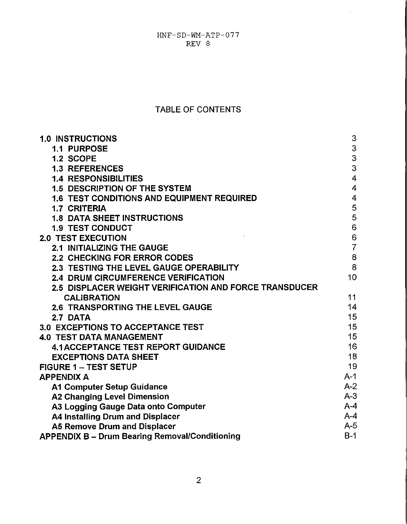**HNF-SD-WM-ATP-077**  REV *8* 

 $\sim 10$ 

# TABLE OF CONTENTS

| <b>1.0 INSTRUCTIONS</b>                                | 3                       |
|--------------------------------------------------------|-------------------------|
| <b>1.1 PURPOSE</b>                                     | 3                       |
| 1.2 SCOPE                                              | 3                       |
| <b>1.3 REFERENCES</b>                                  | 3                       |
| <b>1.4 RESPONSIBILITIES</b>                            | $\overline{\mathbf{4}}$ |
| <b>1.5 DESCRIPTION OF THE SYSTEM</b>                   | $\overline{4}$          |
| <b>1.6 TEST CONDITIONS AND EQUIPMENT REQUIRED</b>      | $\overline{\mathbf{4}}$ |
| <b>1.7 CRITERIA</b>                                    | 5                       |
| <b>1.8 DATA SHEET INSTRUCTIONS</b>                     | 5                       |
| <b>1.9 TEST CONDUCT</b>                                | 6                       |
| <b>2.0 TEST EXECUTION</b>                              | $\mathbf 6$             |
| <b>2.1 INITIALIZING THE GAUGE</b>                      | $\overline{7}$          |
| <b>2.2 CHECKING FOR ERROR CODES</b>                    | 8                       |
| 2.3 TESTING THE LEVEL GAUGE OPERABILITY                | 8                       |
| <b>2.4 DRUM CIRCUMFERENCE VERIFICATION</b>             | 10                      |
| 2.5 DISPLACER WEIGHT VERIFICATION AND FORCE TRANSDUCER |                         |
| <b>CALIBRATION</b>                                     | 11                      |
| <b>2.6 TRANSPORTING THE LEVEL GAUGE</b>                | 14                      |
| 2.7 DATA                                               | 15                      |
| 3.0 EXCEPTIONS TO ACCEPTANCE TEST                      | 15                      |
| <b>4.0 TEST DATA MANAGEMENT</b>                        | 15                      |
| <b>4.1 ACCEPTANCE TEST REPORT GUIDANCE</b>             | 16                      |
| <b>EXCEPTIONS DATA SHEET</b>                           | 18                      |
| <b>FIGURE 1 - TEST SETUP</b>                           | 19                      |
| <b>APPENDIX A</b>                                      | $A-1$                   |
| <b>A1 Computer Setup Guidance</b>                      | $A-2$                   |
| <b>A2 Changing Level Dimension</b>                     | $A-3$                   |
| A3 Logging Gauge Data onto Computer                    | $A - 4$                 |
| A4 Installing Drum and Displacer                       | $A - 4$                 |
| <b>A5 Remove Drum and Displacer</b>                    | $A-5$                   |
| <b>APPENDIX B - Drum Bearing Removal/Conditioning</b>  | $B-1$                   |

 $\sim$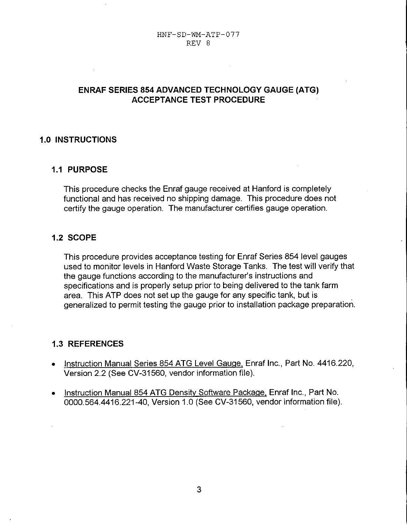# **ENRAF SERIES 854 ADVANCED TECHNOLOGY GAUGE (ATG) ACCEPTANCE TEST PROCEDURE**

### **1.0 INSTRUCTIONS**

#### **1.1 PURPOSE**

This procedure checks the Enraf gauge received at Hanford is completely functional and has received no shipping damage. This procedure does not certify the gauge operation. The manufacturer certifies gauge operation.

#### **1.2 SCOPE**

This procedure provides acceptance testing for Enraf Series 854 level gauges used to monitor levels in Hanford Waste Storage Tanks. The test will verify that the gauge functions according to the manufacturer's instructions and specifications and is properly setup prior to being delivered to the tank farm area. This ATP does not set up the gauge for any specific tank, but is generalized to permit testing the gauge prior to installation package preparation.

#### **1.3 REFERENCES**

- Instruction Manual Series 854 ATG Level Gauge, Enraf Inc., Part No. 4416.220,  $\bullet$ Version 2.2 (See CV-31560, vendor information file).
- **Instruction Manual 854 ATG Density Software Package, Enraf Inc., Part No.** 0000.564.4416.221 -40, Version 1 .O (See CV-31560, vendor information file).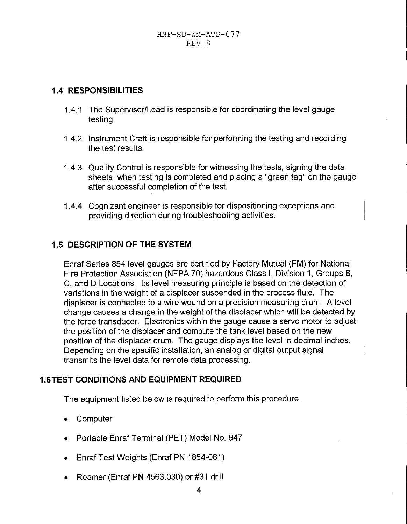# <span id="page-6-0"></span>**1.4 RESPONSIBILITIES**

- 1.4.1 The Supervisor/Lead is responsible for coordinating the level gauge testing.
- 1.4.2 Instrument Craft is responsible for performing the testing and recording the test results.
- 1.4.3 Quality Control is responsible for witnessing the tests, signing the data sheets when testing is completed and placing a "green tag" on the gauge after successful completion of the test.
- 1.4.4 Cognizant engineer is responsible for dispositioning exceptions and providing direction during troubleshooting activities. I

# **1.5 DESCRIPTION OF THE SYSTEM**

Enraf Series 854 level gauges are certified by Factory Mutual (FM) for National Fire Protection Association (NFPA 70) hazardous Class **I,** Division 1, Groups **B,**  C, and D Locations. Its level measuring principle is based on the detection of variations in the weight of a displacer suspended in the process fluid. The displacer is connected to a wire wound on a precision measuring drum. A level change causes a change in the weight of the displacer which will be detected by the force transducer. Electronics within the gauge cause a servo motor to adjust the position of the displacer and compute the tank level based on the new position of the displacer drum. The gauge displays the level in decimal inches. transmits the level data for remote data processing. Depending on the specific installation, an analog or digital output signal

# **1.6TEST CONDITIONS AND EQUIPMENT REQUIRED**

The equipment listed below is required to perform this procedure

- Computer
- Portable Enraf Terminal (PET) Model No. 847
- Enraf Test Weights (Enraf PN 1854-061)
- Reamer (Enraf PN 4563.030) or #31 drill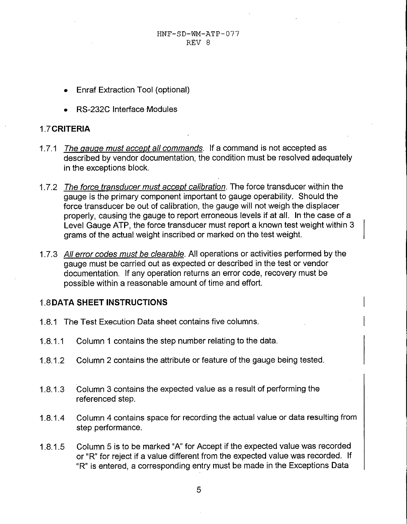- <span id="page-7-0"></span>Enraf Extraction Tool (optional)
- RS-232C Interface Modules

### 1.7CRITERIA

- 1.7.1 The gauge *must accept all commands*. If a command is not accepted as described by vendor documentation, the condition must be resolved adequately in the exceptions block.
- 1.7.2 The force transducer must accept calibration. The force transducer within the gauge is the primary component important to gauge operability. Should the force transducer be out of calibration, the gauge will not weigh the displacer properly, causing the gauge to report erroneous levels if at all. In the case of a Level Gauge ATP, the force transducer must report a known test weight within 3 grams of the actual weight inscribed or marked on the test weight.
- 1.7.3 All error codes *must* be clearable. All operations or activities performed by the gauge must be carried out as expected or described in the test or vendor documentation. If any operation returns an error code, recovery must be possible within a reasonable amount of time and effort.

# 1.8DATA SHEET INSTRUCTIONS I

- 1.8.1 The Test Execution Data sheet contains five columns.
- 1.8.1.1 Column 1 contains the step number relating to the data.
- 1.8.1.2 Column 2 contains the attribute or feature of the gauge being tested.
- 1.8.1.3 Column 3 contains the expected value as a result of performing the referenced step.
- 1.8.1.4 Column 4 contains space for recording the actual value or data resulting from step performance.
- 1.8.1.5 Column 5 is to be marked "A" for Accept if the expected value was recorded or "R" for reject if a value different from the expected value was recorded. If "R" is entered, a corresponding entry must be made in the Exceptions Data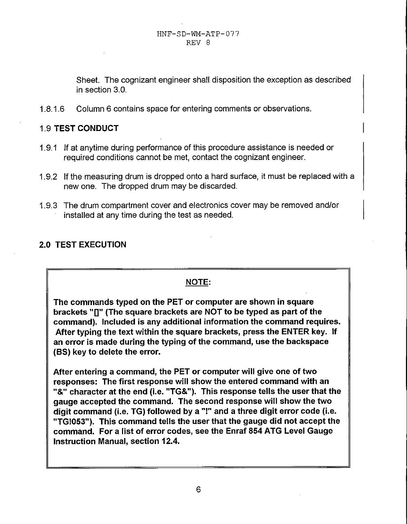<span id="page-8-0"></span>Sheet. The cognizant engineer shall disposition the exception as described in section 3.0.

1.8.1.6 Column 6 contains space for entering comments or observations.

# 1.9 TEST CONDUCT

- 1.9.1 If at anytime during performance of this procedure assistance is needed or required conditions cannot be met, contact the cognizant engineer.
- 1.9.2 If the measuring drum is dropped onto a hard surface, it must be replaced with a new one. The dropped drum may be discarded.
- 1.9.3 The drum compartment cover and electronics cover may be removed andlor installed at any time during the test as needed.

# **2.0** TEST EXECUTION

# NOTE:

The commands typed on the PET or computer are shown in square brackets **"0"** (The square brackets are NOT to be typed as part of the command). Included is any additional information the command requires. After typing the text within the square brackets, press the ENTER key. If an error is made during the typing of the command, use the backspace (BS) key to delete the error.

After entering a command, the PET or computer will give one of *two*  responses: The first response will show the entered command with an "&" character at the end (i.e. "TG&"). This response tells the user that the gauge accepted the command. The second response will show the two digit command (i.e. TG) followed by a "!" and a three digit error code (i.e. "TG!053"). This command tells the user that the gauge did not accept the command. For a list of error codes, see the Enraf **854** ATG Level Gauge Instruction Manual, section **12.4.**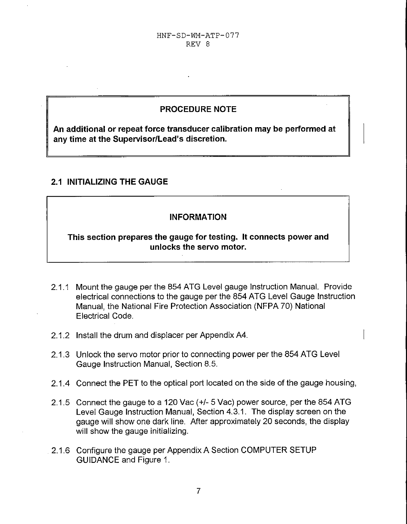# **PROCEDURE NOTE**

<span id="page-9-0"></span>**An additional or repeat force transducer calibration may be performed at**  any time at the Supervisor/Lead's discretion.

# **2.1 INITIALIZING THE GAUGE**

### **INFORMATION**

**This section prepares the gauge for testing. It connects power and unlocks the servo motor.** 

- 2.1.1 Mount the gauge per the 854 ATG Level gauge Instruction Manual. Provide electrical connections to the gauge per the 854 ATG Level Gauge Instruction Manual, the National Fire Protection Association (NFPA 70) National Electrical Code.
- 2.1.2 Install the drum and displacer per Appendix A4. I
- 2.1.3 Unlock the servo motor prior to connecting power per the 854 ATG Level Gauge Instruction Manual, Section 8.5.
- 2.1.4 Connect the PET to the optical port located on the side of the gauge housing,
- 2.1.5 Connect the gauge to a 120 Vac (+/- 5 Vac) power source, per the 854 ATG Level Gauge Instruction Manual, Section 4.3.1. The display screen on the gauge will show one dark line. After approximately 20 seconds, the display will show the gauge initializing.
- 2.1.6 Configure the gauge per Appendix A Section COMPUTER SETUP GUIDANCE and [Figure 1.](#page-21-0)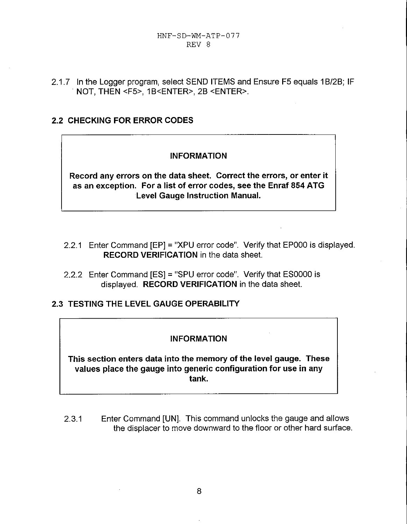2.1.7 In the Logger program, select SEND ITEMS and Ensure F5 equals 1 B/2B; IF NOT, THEN <F5>, 1 B<ENTER>, 2B <ENTER>.

# 2.2 CHECKING FOR ERROR CODES

#### INFORMATION

Record any errors on the data sheet. Correct the errors, or enter it as an exception. For a list of error codes, see the Enraf 854 ATG Level Gauge Instruction Manual.

- 2.2.1 Enter Command [EP] = "XPU error code". Verify that EPOOO is displayed. RECORD VERIFICATION in the data sheet.
- 2.2.2 Enter Command [ES] = "SPU error code". Verify that ESOOOO is displayed. RECORD VERIFICATION in the data sheet.

#### **2.3** TESTING THE LEVEL GAUGE OPERABILITY

#### INFORMATION

This section enters data into the memory of the level gauge. These values place the gauge into generic configuration for use in any tank.

2.3.1 Enter Command [UN]. This command unlocks the gauge and allows the displacer to move downward to the floor or other hard surface.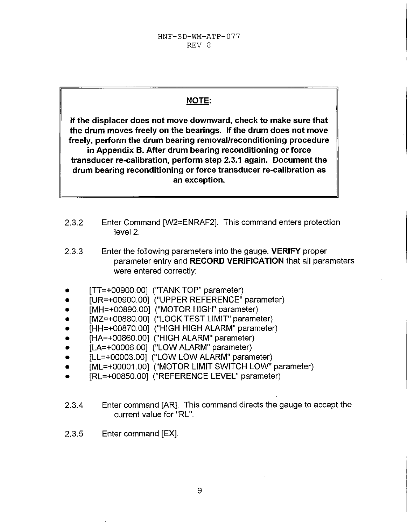# NOTE:

If the displacer does not move downward, check to make sure that the drum moves freely on the bearings. If the drum does not move freely, perform the drum bearing removal/reconditioning procedure

in Appendix B. After drum bearing reconditioning or force transducer re-calibration, perform step 2.3.1 again. Document the drum bearing reconditioning or force transducer re-calibration as an exception.

- 2.3.2 Enter Command [W2=ENRAF2]. This command enters protection level 2.
- 2.3.3 Enter the following parameters into the gauge. **VERIFY** proper parameter entry and RECORD VERIFICATION that all parameters were entered correctly:
- **e**  [TT=+00900.00] ("TANK TOP" parameter)
- *0*  [UR=+00900.00] ("UPPER REFERENCE" parameter)
- *0*  [MH=+00890.00] ("MOTOR HIGH" parameter)
- **e**  [MZ=+00880.00] ("LOCK TEST LIMIT" parameter)
- **e**  [HH=+00870.00] ("HIGH HIGH ALARM' parameter)
- **e**  [HA=+00860.00] ("HIGH ALARM' parameter)
- **e**  [LA=+00006.00] ("LOW ALARM" parameter)
- **e**   $[LL=+00003.00]$  ("LOW LOW ALARM" parameter)
- **e**  [ML=+00001.00] ("MOTOR LIMIT SWITCH LOW' parameter)
- *0*  [RL=+00850.00] ("REFERENCE LEVEL" parameter)
- 2.3.4 Enter command [AR]. This command directs the gauge to accept the current value for "RL".
- 2.3.5 Enter command [EX]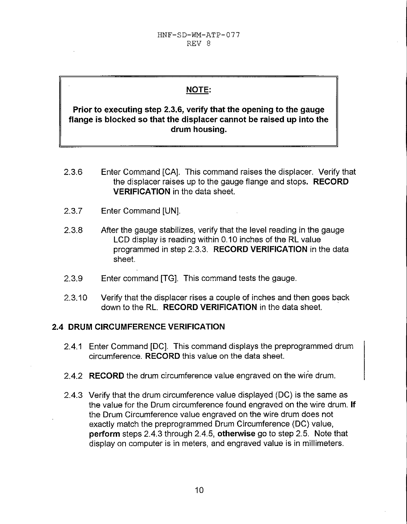# NOTE:

<span id="page-12-0"></span>**Prior to executing step 2.3.6, verify that the opening to the gauge flange is blocked so that the displacer cannot be raised up into the drum housing.** 

- 2.3.6 Enter Command [CAI. This command raises the displacer. Verify that the displacer raises up to the gauge flange and stops. **RECORD VERIFICATION** in the data sheet.
- 2.3.7 Enter Command [UN].
- 2.3.8 After the gauge stabilizes, verify that the level reading in the gauge LCD display is reading within 0.10 inches of the RL value programmed in step 2.3.3. **RECORD VERIFICATION** in the data sheet.
- 2.3.9 Enter command [TG]. This command tests the gauge
- 2.3.10 Verify that the displacer rises a couple of inches and then goes back down to the RL. **RECORD VERIFICATION** in the data sheet.

# **2.4 DRUM CIRCUMFERENCE VERIFICATION**

- 2.4.1 Enter Command [DC]. This command displays the preprogrammed drum circumference. **RECORD** this value on the data sheet.
- 2.4.2 **RECORD** the drum circumference value engraved on the wire drum.
- 2.4.3 Verify that the drum circumference value displayed (DC) is the same as the value for the Drum circumference found engraved on the wire drum. **If**  the Drum Circumference value engraved on the wire drum does not exactly match the preprogrammed Drum Circumference (DC) value, **perform** steps 2.4.3 through 2.4.5, **otherwise** go to step 2.5. Note that display on computer is in meters, and engraved value is in millimeters.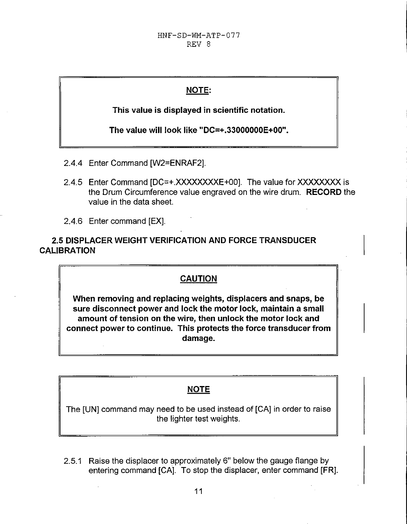# NOTE:

<span id="page-13-0"></span>This value is displayed in scientific notation.

The value will look like "DC=+.33000000E+00".

- 2.4.4 Enter Command [W2=ENRAF2].
- 2.4.5 Enter Command [DC=+.XXXXXXXXE+00]. The value for XXXXXXXX is the Drum Circumference value engraved on the wire drum. RECORD the value in the data sheet.
- 2.4.6 Enter command [EX]

# 2.5 DISPLACER WEIGHT VERIFICATION AND FORCE TRANSDUCER **CALIBRATION**

# CAUTION

When removing and replacing weights, displacers and snaps, be sure disconnect power and lock the motor lock, maintain a small amount of tension on the wire, then unlock the motor lock and connect power to continue. This protects the force transducer from damage.

# NOTE

The [UN] command may need to be used instead of [CAI in order to raise the lighter test weights.

2.5.1 Raise the displacer to approximately 6" below the gauge flange by entering command [CA]. To stop the displacer, enter command [FR].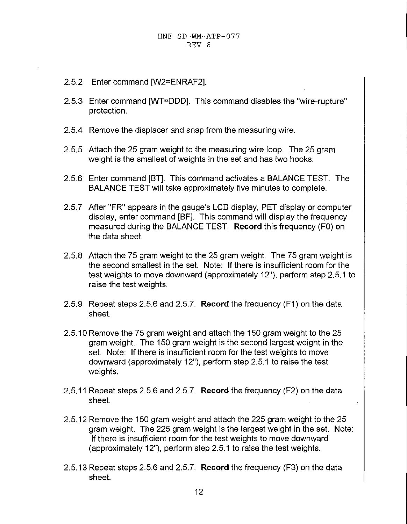- 2.5.2 Enter command [W2=ENRAF2]
- 2.5.3 Enter command [VVT=DDD]. This command disables the "wire-rupture'' protection.
- 2.5.4 Remove the displacer and snap from the measuring wire.
- 2.5.5 Attach the 25 gram weight to the measuring wire loop. The 25 gram weight is the smallest of weights in the set and has two hooks.
- 2.5.6 Enter command [BT]. This command activates a BALANCE TEST. The BALANCE TEST will take approximately five minutes to complete.
- 2.5.7 After "FR' appears in the gauge's LCD display, PET display or computer display, enter command [BF]. This command will display the frequency measured during the BALANCE TEST. **Record** this frequency (FO) on the data sheet.
- 2.5.8 Attach the 75 gram weight to the 25 gram weight. The 75 gram weight is the second smallest in the set. Note: If there is insufficient room for the test weights to move downward (approximately 12"), perform step 2.5.1 to raise the test weights.
- 2.5.9 Repeat steps 2.5.6 and 2.5.7. **Record** the frequency (FI) on the data sheet.
- 2.5.10 Remove the 75 gram weight and attach the 150 gram weight to the 25 gram weight. The 150 gram weight is the second largest weight in the set. Note: If there is insufficient room for the test weights to move downward (approximately 12"), perform step 2.5.1 to raise the test weights.
- 2.5.1 1 Repeat steps 2.5.6 and 2.5.7. **Record** the frequency (F2) on the data sheet.
- 2.5.12 Remove the 150 gram weight and attach the 225 gram weight to the 25 gram weight. The 225 gram weight is the largest weight in the set. Note: If there is insufficient room for the test weights to move downward (approximately 12"), perform step 2.5.1 to raise the test weights.
- 2.5.1 3 Repeat steps 2.5.6 and 2.5.7. **Record** the frequency (F3) on the data sheet.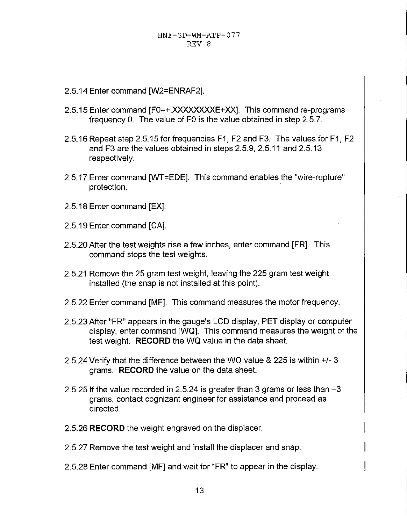- 2.5.14 Enter command [W2=ENRAF2].
- 2.5.15 Enter command [F0=+.XXXXXXXXE+XX]. This command re-programs frequency 0. The value of FO is the value obtained in step 2.5.7.
- 2.5.16 Repeat step 2.5.15 for frequencies FI, F2 and F3. The values for FI, F2 and F3 are the values obtained in steps 2.5.9, 2.5.11 and 2.5.13 respectively.
- 2.5.17 Enter command [WT=EDE]. This command enables the "wire-rupture'' protection.
- 2.5.18 Enter command [EX]
- 2.5.19 Enter command [CA].
- 2.5.20 After the test weights rise a few inches, enter command [FR]. This command stops the test weights.
- 2.5.21 Remove the 25 gram test weight, leaving the 225 gram test weight installed (the snap is not installed at this point).
- 2.5.22 Enter command [MF]. This command measures the motor frequency
- 2.5.23 After "FR' appears in the gauge's LCD display, PET display or computer display, enter command [WQ]. This command measures the weight of the test weight. **RECORD** the WQ value in the data sheet.
- 2.5.24 Verify that the difference between the WQ value & 225 is within +/- 3 grams. **RECORD** the value on the data sheet.
- 2.5.25 If the value recorded in 2.5.24 is greater than 3 grams or less than -3 grams, contact cognizant engineer for assistance and proceed as directed.

I

I

I

- 2.5.26 **RECORD** the weight engraved on the displacer.
- 2.5.27 Remove the test weight and install the displacer and snap.
- 2.5.28 Enter command [MF] and wait for "FR" to appear in the display.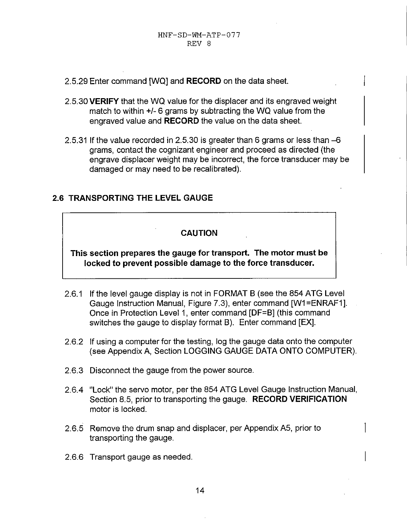- <span id="page-16-0"></span>2.5.29 Enter command [WQ] and **RECORD** on the data sheet. I
- **2.5.30VERlFY** that the WQ value for the displacer and its engraved weight match to within *+I-* 6 grams by subtracting the WQ value from the engraved value and **RECORD** the value on the data sheet.
- 2.5.31 If the value recorded in 2.5.30 is greater than 6 grams or less than -6 grams, contact the cognizant engineer and proceed as directed (the engrave displacer weight may be incorrect, the force transducer may be damaged or may need to be recalibrated).

# **2.6 TRANSPORTING THE LEVEL GAUGE**

# **CAUTION**

**This section prepares the gauge for transport. The motor must be locked to prevent possible damage to the force transducer.** 

- 2.6.1 If the level gauge display is not in FORMAT B (see the 854 ATG Level Gauge Instruction Manual, Figure *7.3),* enter command [WI =ENRAFI]. Once in Protection Level 1, enter command [DF=B] (this command switches the gauge to display format **B).** Enter command [EX].
- 2.6.2 If using a computer for the testing, log the gauge data onto the computer (see Appendix A, Section LOGGING GAUGE DATA ONTO COMPUTER).
- 2.6.3 Disconnect the gauge from the power source
- 2.6.4 "Lock" the servo motor, per the 854 ATG Level Gauge Instruction Manual, Section 8.5, prior to transporting the gauge. **RECORD VERIFICATION**  motor is locked.
- 2.6.5 Remove the drum snap and displacer, per Appendix A5, prior to transporting the gauge.
- 2.6.6 Transport gauge as needed.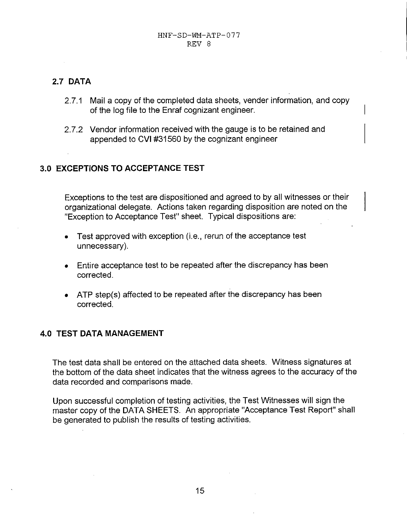# <span id="page-17-0"></span>**2.7 DATA**

2.7.1 Mail a copy of the completed data sheets, vender information, and copy of the log file to the Enraf cognizant engineer.

I

I

I

2.7.2 Vendor information received with the gauge is to be retained and appended to CVI #31560 by the cognizant engineer

# **3.0 EXCEPTIONS TO ACCEPTANCE TEST**

Exceptions to the test are dispositioned and agreed to by all witnesses or their organizational delegate. Actions taken regarding disposition are noted on the "Exception to Acceptance Test" sheet. Typical dispositions are:

- Test approved with exception (i.e., rerun of the acceptance test unnecessary).
- Entire acceptance test to be repeated after the discrepancy has been corrected.
- ATP step(s) affected to be repeated after the discrepancy has been corrected.

# **4.0 TEST DATA MANAGEMENT**

The test data shall be entered on the attached data sheets. Witness signatures at the bottom of the data sheet indicates that the witness agrees to the accuracy of the data recorded and comparisons made.

Upon successful completion of testing activities, the Test Witnesses will sign the master copy of the DATA SHEETS. An appropriate "Acceptance Test Report" shall be generated to publish the results of testing activities.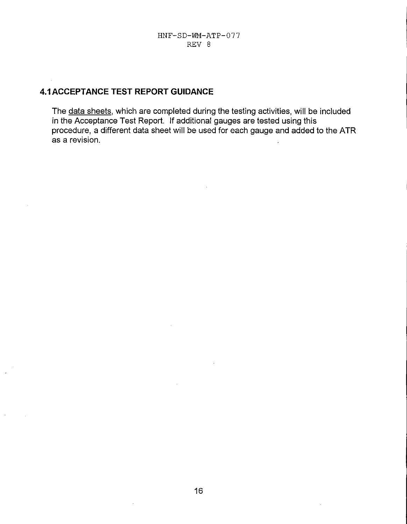# <span id="page-18-0"></span>**4.1 ACCEPTANCE TEST REPORT GUIDANCE**

The data sheets, which are completed during the testing activities, will be included in the Acceptance Test Report. If additional gauges are tested using this procedure, a different data sheet will be used for each gauge and added to the ATR as a revision.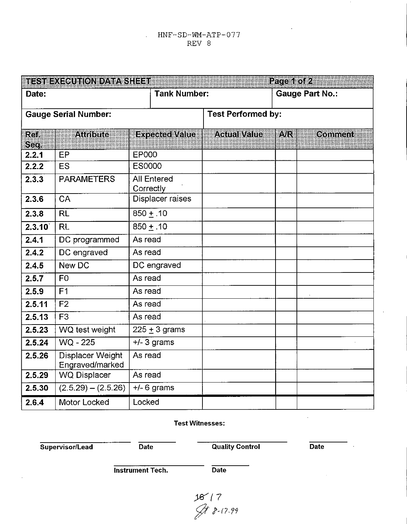#### HNF-SD-WM-ATP-077 REV *8*

|           | <b>TEST EXECUTION DATA SHEET</b>    |                                 |                           | Pace 1 of 2   |                        |
|-----------|-------------------------------------|---------------------------------|---------------------------|---------------|------------------------|
| Date:     |                                     | <b>Tank Number:</b>             |                           |               | <b>Gauge Part No.:</b> |
|           | <b>Gauge Serial Number:</b>         |                                 | <b>Test Performed by:</b> |               |                        |
| Rã<br>83. | Audone                              | <b>Expected Value</b>           | <b>AGNETIVET NE</b>       | A             | Comment                |
| 2.2.1     | EP                                  | <b>EP000</b>                    |                           |               |                        |
| 2.2.2     | <b>ES</b>                           | <b>ES0000</b>                   |                           |               |                        |
| 2.3.3     | <b>PARAMETERS</b>                   | <b>All Entered</b><br>Correctly |                           |               |                        |
| 2.3.6     | CA                                  | Displacer raises                |                           | $\mathcal{L}$ |                        |
| 2.3.8     | <b>RL</b>                           | $850 + .10$                     |                           |               |                        |
| 2.3.10    | <b>RL</b>                           | $850 + .10$                     |                           |               |                        |
| 2.4.1     | DC programmed                       | As read                         |                           |               |                        |
| 2.4.2     | DC engraved                         | As read                         |                           |               |                        |
| 2.4.5     | New DC                              | DC engraved                     |                           |               |                        |
| 2.5.7     | F <sub>0</sub>                      | As read                         |                           |               |                        |
| 2.5.9     | F <sub>1</sub>                      | As read                         |                           |               |                        |
| 2.5.11    | F <sub>2</sub>                      | As read                         |                           |               |                        |
| 2.5.13    | F <sub>3</sub>                      | As read                         |                           |               |                        |
| 2.5.23    | WQ test weight                      | $225 \pm 3$ grams               |                           |               |                        |
| 2.5.24    | WQ - 225                            | $+/-3$ grams                    |                           |               |                        |
| 2.5.26    | Displacer Weight<br>Engraved/marked | As read                         |                           |               |                        |
| 2.5.29    | <b>WQ Displacer</b>                 | As read                         |                           |               |                        |
| 2.5.30    | $\overline{(2.5.29)} - (2.5.26)$    | $+/-$ 6 grams                   |                           |               |                        |
| 2.6.4     | Motor Locked                        | Locked                          |                           |               |                        |

### **Test Witnesses:**

**Supervisor/Lead Date Date Quality Control Date** 

**Instrument Tech. Date** 

 $16$  | 7<br> $4$  8-17.99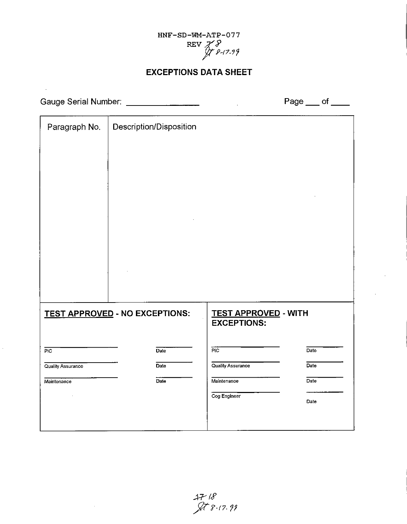

# **EXCEPTIONS DATA SHEET**

Gauge Serial Number:

 $\mathcal{A}^{\pm}$ 

 $\mathcal{A}^{\mathcal{A}}$ 

 $Page$  of  $\_\_$ 

| Paragraph No.     | Description/Disposition               |                                                   |      |
|-------------------|---------------------------------------|---------------------------------------------------|------|
|                   |                                       |                                                   |      |
|                   |                                       |                                                   |      |
|                   |                                       |                                                   |      |
|                   |                                       |                                                   |      |
|                   |                                       |                                                   |      |
|                   |                                       |                                                   |      |
|                   |                                       |                                                   |      |
|                   | <b>TEST APPROVED - NO EXCEPTIONS:</b> | <b>TEST APPROVED - WITH</b><br><b>EXCEPTIONS:</b> |      |
| PIC               | Date                                  | $\overline{PC}$                                   | Date |
| Quality Assurance | Date                                  | Quality Assurance                                 | Date |
| Maintenance       | Date                                  | Maintenance                                       | Date |
|                   |                                       | Cog Engineer                                      | Date |
|                   |                                       |                                                   |      |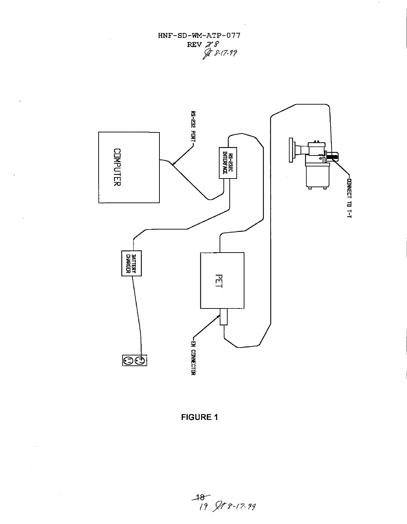**HNF-SD-WM-ATP-077**  REV *28 g-847-97* 

<span id="page-21-0"></span> $\overline{a}$ 

 $\mathcal{L}$ 

 $\ddot{\phantom{a}}$ 

 $\ddot{\phantom{0}}$ 

 $\cdot$ 



**[FIGURE 1](#page-3-0)**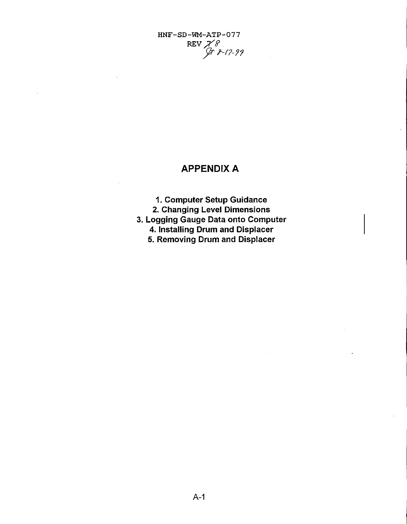**HNF-SD-WM-ATP-077**  REvf8 p *847- 9 9* 

# **APPENDIX A**

- **1. Computer Setup Guidance**
- **2. Changing Level Dimensions**
- **3. Logging Gauge Data onto Computer** 
	- **4. Installing Drum and Displacer**
	- **5. Removing Drum and Displacer**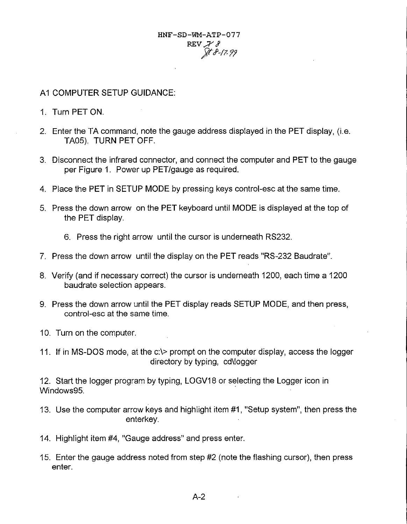### <span id="page-23-0"></span>AI COMPUTER SETUP GUIDANCE:

- 1. Turn PET ON
- 2. Enter the TA command, note the gauge address displayed in the PET display, (i.e. TA05). TURN PET OFF.
- 3. Disconnect the infrared connector, and connect the computer and PET to the gauge per [Figure 1.](#page-21-0) Power up PET/gauge as required.
- 4. Place the PET in SETUP MODE by pressing keys control-esc at the same time.
- 5. Press the down arrow on the PET keyboard until MODE is displayed at the top of the PET display.
	- 6. Press the right arrow until the cursor is underneath RS232.
- 7. Press the down arrow until the display on the PET reads "RS-232 Baudrate".
- 8. Verify (and if necessary correct) the cursor is underneath 1200, each time a 1200 baudrate selection appears.
- 9. Press the down arrow until the PET display reads SETUP MODE, and then press, control-esc at the same time.
- 10. Turn on the computer.
- 11. If in MS-DOS mode, at the c:\> prompt on the computer display, access the logger directory by typing, cd\logger

12. Start the logger program by typing, LOGV18 or selecting the Logger icon in Windows95.

- 13. Use the computer arrow keys and highlight item #I, "Setup system", then press the enterkey.
- 14. Highlight item #4, "Gauge address" and press enter.
- 15. Enter the gauge address noted from step #2 (note the flashing cursor), then press enter.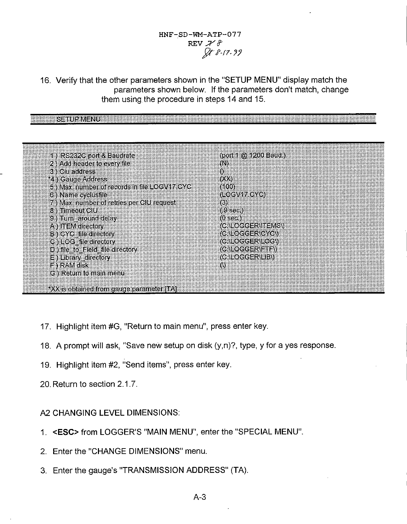HNF-.SD **-WM-ATP-** *0 7 7*  REV  $\mathscr{L}$   $\ell$ *@B-/7- 99* 

<span id="page-24-0"></span>16. Verify that the other parameters shown in the "SETUP MENU" display match the parameters shown below. If the parameters don't match, change them using the procedure in steps 14 and 15.

#### ...................  $S = UPMH1U$

| 1) RS232C port & Baudrate                   | $($ port $1/60$ i 200 Baud.) |
|---------------------------------------------|------------------------------|
| 2) Additionate to every file                | W.                           |
| <b>&amp; ICIL address</b>                   | 30                           |
| *4) Gauge Address                           | OO V                         |
| 5) Max number of records in file LOGV17 CYC | KHOO)                        |
| 6 il Vanie cyclusiile                       | (Koovekong)                  |
| 7 Max number of retries per CIU request     | 13)                          |
| 8) a fineout Old                            | (9 sec )                     |
| 9) Turn around delay                        | $(0, \sec)$                  |
| A) ITEM directory                           | (CNLOGGERNIEMS))             |
| <b>B</b> ) OVC file directory               | (CNLOGGERICYC))              |
| C ) LOG file directory                      | <u>(CNLOGGER LOG)</u>        |
| D) file to Field file directory             | (C.LOGGER) TEY               |
| E) Library directory                        | (CNLOGGERNLIB)               |
| en van Gisk                                 | ΙŴ.                          |
| G ) Return to main menu                     |                              |

- 17. Highlight item #G, "Return to main menu", press enter key.
- 18. A prompt will ask, "Save new setup on disk (y,n)?, type, y for a yes response
- 19. Highlight item #2, "Send items", press enter key.
- 20. Return to section 2.1.7.

### *A2* CHANGING LEVEL DIMENSIONS:

- 1. < ESC> from LOGGER'S "MAIN MENU", enter the "SPECIAL MENU".
- 2. Enter the "CHANGE DIMENSIONS" menu.
- 3. Enter the gauge's "TRANSMISSION ADDRESS" (TA).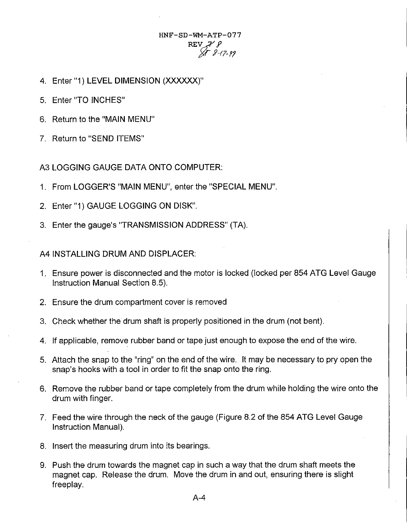- <span id="page-25-0"></span>4. Enter "1) LEVEL DIMENSION (XXXXXX)"
- 5. Enter "TO INCHES"
- 6. Return to the "MAIN MENU"
- 7. Return to "SEND ITEMS"

A3 LOGGING GAUGE DATA ONTO COMPUTER:

- 1. From LOGGERS "MAIN MENU", enter the "SPECIAL MENU".
- 2. Enter "1) GAUGE LOGGING ON DISK'.
- 3. Enter the gauge's "TRANSMISSION ADDRESS" (TA)

A4 INSTALLING DRUM AND DISPLACER:

- 1. Ensure power is disconnected and the motor is locked (locked per 854 ATG Level Gauge Instruction Manual Section 8.5).
- 2. Ensure the drum compartment cover is removed
- 3. Check whether the drum shaft is properly positioned in the drum (not bent)
- 4. If applicable, remove rubber band or tape just enough to expose the end of the wire.
- 5. Attach the snap to the "ring" on the end of the wire. It may be necessary to pry open the snap's hooks with a tool in order to fit the snap onto the ring.
- *6.* Remove the rubber band or tape completely from the drum while holding the wire onto the drum with finger.
- 7. Feed the wire through the neck of the gauge (Figure 8.2 of the 854 ATG Level Gauge Instruction Manual).
- 8. Insert the measuring drum into its bearings.
- 9. Push the drum towards the magnet cap in such a way that the drum shaft meets the magnet cap. Release the drum. Move the drum in and out, ensuring there is slight freeplay.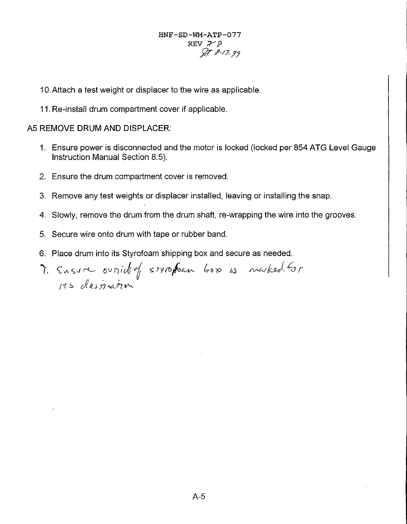**HNF-SD-WM-ATP-077**   $REV$   $\mathcal{V}$   $\beta$ *aR-/Zy?* 

10.Attach a test weight or displacer to the wire as applicable.

11. Re-install drum compartment cover if applicable.

# A5 REMOVE DRUM AND DISPLACER:

- 1. Ensure power is disconnected and the motor is locked (locked per 854 ATG Level Gauge Instruction Manual Section 8.5).
- 2. Ensure the drum compartment cover is removed
- 3. Remove any test weights or displacer installed, leaving or installing the snap.
- 4. Slowly, remove the drum from the drum shaft, re-wrapping the wire into the grooves.
- 5. Secure wire onto drum with tape or rubber band.
- 6. Place drum into its Styrofoam shipping box and secure as needed.

7. Ensure outsided strophan box is marked for  $115$  *despration*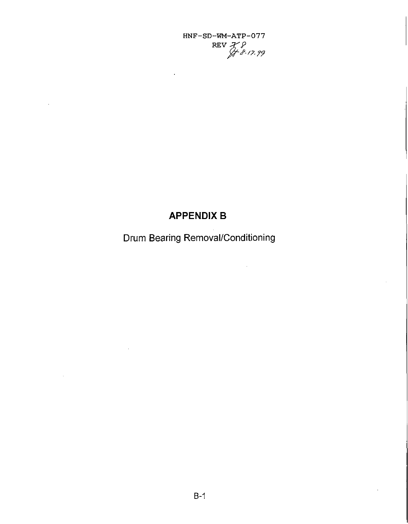**HNF-SD-WM-ATP-077 REV**  $\cancel{\mathcal{F}}$   $\cancel{\mathcal{P}}$ *p247.79* 

# **APPENDIX B**

Drum Bearing Removal/Conditioning

 $\bar{z}$